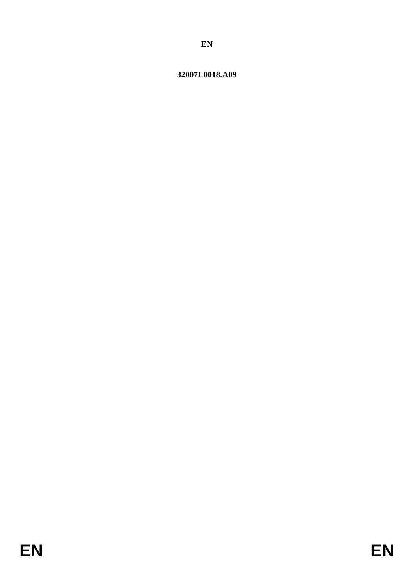<span id="page-0-0"></span>32007L0018.A09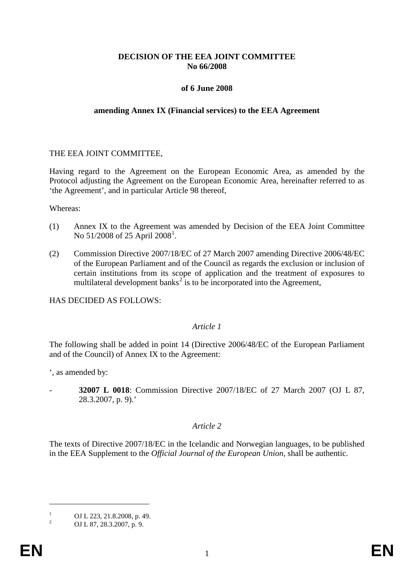# **DECISION OF THE EEA JOINT COMMITTEE No 66/2008**

## **of 6 June 2008**

### **amending Annex IX (Financial services) to the EEA Agreement**

### THE EEA JOINT COMMITTEE,

Having regard to the Agreement on the European Economic Area, as amended by the Protocol adjusting the Agreement on the European Economic Area, hereinafter referred to as 'the Agreement', and in particular Article 98 thereof,

Whereas:

- (1) Annex IX to the Agreement was amended by Decision of the EEA Joint Committee No 5[1](#page-0-0)/2008 of 25 April 2008<sup>1</sup>.
- (2) Commission Directive 2007/18/EC of 27 March 2007 amending Directive 2006/48/EC of the European Parliament and of the Council as regards the exclusion or inclusion of certain institutions from its scope of application and the treatment of exposures to multilateral development banks<sup> $2$ </sup> is to be incorporated into the Agreement,

HAS DECIDED AS FOLLOWS:

#### *Article 1*

The following shall be added in point 14 (Directive 2006/48/EC of the European Parliament and of the Council) of Annex IX to the Agreement:

', as amended by:

- **32007 L 0018**: Commission Directive 2007/18/EC of 27 March 2007 (OJ L 87, 28.3.2007, p. 9).'

## *Article 2*

The texts of Directive 2007/18/EC in the Icelandic and Norwegian languages, to be published in the EEA Supplement to the *Official Journal of the European Union*, shall be authentic.

-

<span id="page-1-0"></span> $\frac{1}{2}$  OJ L 223, 21.8.2008, p. 49.<br>OJ L 87, 28.3.2007, p. 9.